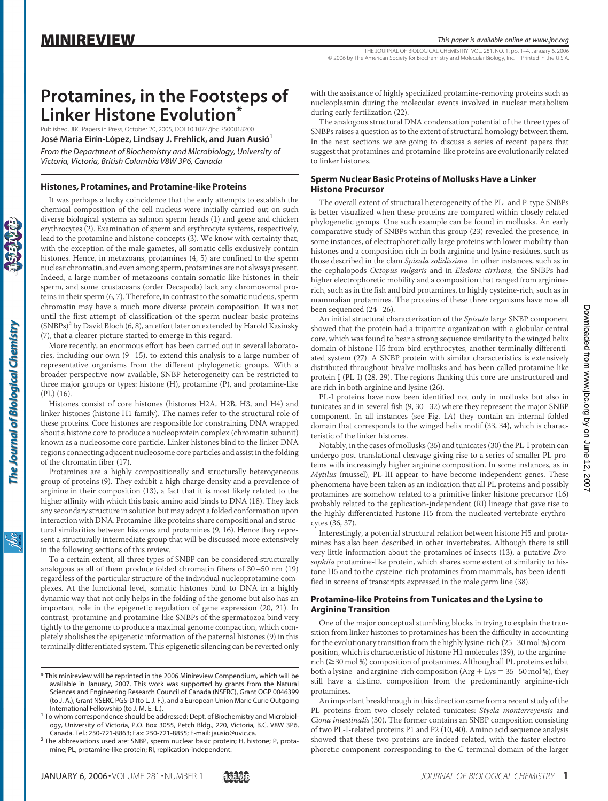THE JOURNAL OF BIOLOGICAL CHEMISTRY VOL. 281, NO. 1, pp. 1–4, January 6, 2006 © 2006 by The American Society for Biochemistry and Molecular Biology, Inc. Printed in the U.S.A.

# **Protamines, in the Footsteps of Linker Histone Evolution\***

Published, JBC Papers in Press, October 20, 2005, DOI 10.1074/jbc.R500018200 **José María Eirín-López, Lindsay J. Frehlick, and Juan Ausió<sup>1</sup>** *From the Department of Biochemistry and Microbiology, University of Victoria, Victoria, British Columbia V8W 3P6, Canada*

### **Histones, Protamines, and Protamine-like Proteins**

It was perhaps a lucky coincidence that the early attempts to establish the chemical composition of the cell nucleus were initially carried out on such diverse biological systems as salmon sperm heads (1) and geese and chicken erythrocytes (2). Examination of sperm and erythrocyte systems, respectively, lead to the protamine and histone concepts (3). We know with certainty that, with the exception of the male gametes, all somatic cells exclusively contain histones. Hence, in metazoans, protamines (4, 5) are confined to the sperm nuclear chromatin, and even among sperm, protamines are not always present. Indeed, a large number of metazoans contain somatic-like histones in their sperm, and some crustaceans (order Decapoda) lack any chromosomal proteins in their sperm (6, 7). Therefore, in contrast to the somatic nucleus, sperm chromatin may have a much more diverse protein composition. It was not until the first attempt of classification of the sperm nuclear basic proteins  $(SNBPs)^2$  by David Bloch (6, 8), an effort later on extended by Harold Kasinsky (7), that a clearer picture started to emerge in this regard.

More recently, an enormous effort has been carried out in several laboratories, including our own (9–15), to extend this analysis to a large number of representative organisms from the different phylogenetic groups. With a broader perspective now available, SNBP heterogeneity can be restricted to three major groups or types: histone (H), protamine (P), and protamine-like (PL) (16).

Histones consist of core histones (histones H2A, H2B, H3, and H4) and linker histones (histone H1 family). The names refer to the structural role of these proteins. Core histones are responsible for constraining DNA wrapped about a histone core to produce a nucleoprotein complex (chromatin subunit) known as a nucleosome core particle. Linker histones bind to the linker DNA regions connecting adjacent nucleosome core particles and assist in the folding of the chromatin fiber (17).

Protamines are a highly compositionally and structurally heterogeneous group of proteins (9). They exhibit a high charge density and a prevalence of arginine in their composition (13), a fact that it is most likely related to the higher affinity with which this basic amino acid binds to DNA (18). They lack any secondary structure in solution but may adopt a folded conformation upon interaction with DNA. Protamine-like proteins share compositional and structural similarities between histones and protamines (9, 16). Hence they represent a structurally intermediate group that will be discussed more extensively in the following sections of this review.

To a certain extent, all three types of SNBP can be considered structurally analogous as all of them produce folded chromatin fibers of 30–50 nm (19) regardless of the particular structure of the individual nucleoprotamine complexes. At the functional level, somatic histones bind to DNA in a highly dynamic way that not only helps in the folding of the genome but also has an important role in the epigenetic regulation of gene expression (20, 21). In contrast, protamine and protamine-like SNBPs of the spermatozoa bind very tightly to the genome to produce a maximal genome compaction, which completely abolishes the epigenetic information of the paternal histones (9) in this terminally differentiated system. This epigenetic silencing can be reverted only

with the assistance of highly specialized protamine-removing proteins such as nucleoplasmin during the molecular events involved in nuclear metabolism during early fertilization (22).

The analogous structural DNA condensation potential of the three types of SNBPs raises a question as to the extent of structural homology between them. In the next sections we are going to discuss a series of recent papers that suggest that protamines and protamine-like proteins are evolutionarily related to linker histones.

## **Sperm Nuclear Basic Proteins of Mollusks Have a Linker Histone Precursor**

The overall extent of structural heterogeneity of the PL- and P-type SNBPs is better visualized when these proteins are compared within closely related phylogenetic groups. One such example can be found in mollusks. An early comparative study of SNBPs within this group (23) revealed the presence, in some instances, of electrophoretically large proteins with lower mobility than histones and a composition rich in both arginine and lysine residues, such as those described in the clam *Spisula solidissima*. In other instances, such as in the cephalopods *Octopus vulgaris* and in *Eledone cirrhosa,* the SNBPs had higher electrophoretic mobility and a composition that ranged from argininerich, such as in the fish and bird protamines, to highly cysteine-rich, such as in mammalian protamines. The proteins of these three organisms have now all been sequenced (24–26).

An initial structural characterization of the *Spisula* large SNBP component showed that the protein had a tripartite organization with a globular central core, which was found to bear a strong sequence similarity to the winged helix domain of histone H5 from bird erythrocytes, another terminally differentiated system (27). A SNBP protein with similar characteristics is extensively distributed throughout bivalve mollusks and has been called protamine-like protein I (PL-I) (28, 29). The regions flanking this core are unstructured and are rich in both arginine and lysine (26).

PL-I proteins have now been identified not only in mollusks but also in tunicates and in several fish (9, 30–32) where they represent the major SNBP component. In all instances (see Fig. 1*A*) they contain an internal folded domain that corresponds to the winged helix motif (33, 34), which is characteristic of the linker histones.

Notably, in the cases of mollusks (35) and tunicates (30) the PL-I protein can undergo post-translational cleavage giving rise to a series of smaller PL proteins with increasingly higher arginine composition. In some instances, as in *Mytilus* (mussel), PL-III appear to have become independent genes. These phenomena have been taken as an indication that all PL proteins and possibly protamines are somehow related to a primitive linker histone precursor (16) probably related to the replication-independent (RI) lineage that gave rise to the highly differentiated histone H5 from the nucleated vertebrate erythrocytes (36, 37).

Interestingly, a potential structural relation between histone H5 and protamines has also been described in other invertebrates. Although there is still very little information about the protamines of insects (13), a putative *Drosophila* protamine-like protein, which shares some extent of similarity to histone H5 and to the cysteine-rich protamines from mammals, has been identified in screens of transcripts expressed in the male germ line (38).

#### **Protamine-like Proteins from Tunicates and the Lysine to Arginine Transition**

One of the major conceptual stumbling blocks in trying to explain the transition from linker histones to protamines has been the difficulty in accounting for the evolutionary transition from the highly lysine-rich (25–30 mol %) composition, which is characteristic of histone H1 molecules (39), to the argininerich (30 mol %) composition of protamines. Although all PL proteins exhibit both a lysine- and arginine-rich composition  $(Arg + Lys = 35-50 \text{ mol \%})$ , they still have a distinct composition from the predominantly arginine-rich protamines.

<sup>\*</sup> This minireview will be reprinted in the 2006 Minireview Compendium, which will be available in January, 2007. This work was supported by grants from the Natural Sciences and Engineering Research Council of Canada (NSERC), Grant OGP 0046399 (to J. A.), Grant NSERC PGS-D (to L. J. F.), and a European Union Marie Curie Outgoing<br>International Fellowship (to J. M. E.-L.).

<sup>&</sup>lt;sup>1</sup> To whom correspondence should be addressed: Dept. of Biochemistry and Microbiology, University of Victoria, P.O. Box 3055, Petch Bldg., 220, Victoria, B.C. V8W 3P6,<br>Canada. Tel.: 250-721-8863; Fax: 250-721-8855; E-mail: jausio@uvic.ca.

 $^2$  The abbreviations used are: SNBP, sperm nuclear basic protein; H, histone; P, protamine; PL, protamine-like protein; RI, replication-independent.

An important breakthrough in this direction came from a recent study of the PL proteins from two closely related tunicates: *Styela monterreyensis* and *Ciona intestinalis* (30). The former contains an SNBP composition consisting of two PL-I-related proteins P1 and P2 (10, 40). Amino acid sequence analysis showed that these two proteins are indeed related, with the faster electrophoretic component corresponding to the C-terminal domain of the larger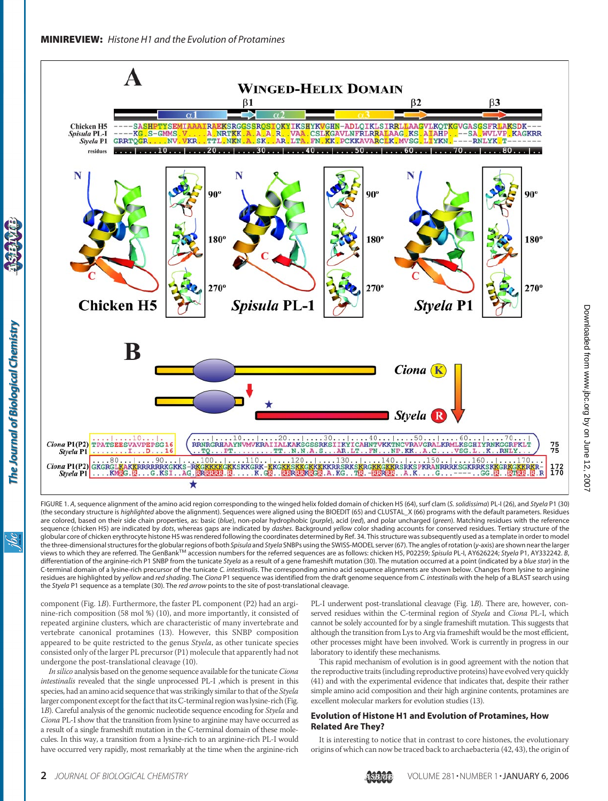

FIGURE 1. *A*, sequence alignment of the amino acid region corresponding to the winged helix folded domain of chicken H5 (64), surf clam (*S. solidissima*) PL-I (26), and *Styela* P1 (30) (the secondary structure is *highlighted* above the alignment). Sequences were aligned using the BIOEDIT (65) and CLUSTAL\_X (66) programs with the default parameters. Residues are colored, based on their side chain properties, as: basic (*blue*), non-polar hydrophobic (*purple*), acid (*red*), and polar uncharged (*green*). Matching residues with the reference sequence (chicken H5) are indicated by *dots*, whereas gaps are indicated by *dashes*. Background *yellow* color shading accounts for conserved residues. Tertiary structure of the globular core of chicken erythrocyte histone H5 was rendered following the coordinates determined by Ref. 34. This structure was subsequently used as a template in order to model the three-dimensional structuresfor the globular regions of both *Spisula* and *Styela* SNBPs using the SWISS-MODEL server (67). The angles of rotation (*y*-axis) are shown near the larger views to which they are referred. The GenBankTM accession numbers for the referred sequences are as follows: chicken H5, P02259; *Spisula* PL-I, AY626224; *Styela* P1, AY332242. *B*, differentiation of the arginine-rich P1 SNBP from the tunicate *Styela* as a result of a gene frameshift mutation (30). The mutation occurred at a point (indicated by a *blue star*) in the C-terminal domain of a lysine-rich precursor of the tunicate *C. intestinalis*. The corresponding amino acid sequence alignments are shown below. Changes from lysine to arginine residues are highlighted by *yellow* and *red shading*. The *Ciona* P1 sequence was identified from the draft genome sequence from *C. intestinalis* with the help of a BLAST search using the *Styela* P1 sequence as a template (30). The *red arrow* points to the site of post-translational cleavage.

component (Fig. 1*B*). Furthermore, the faster PL component (P2) had an arginine-rich composition (58 mol %) (10), and more importantly, it consisted of repeated arginine clusters, which are characteristic of many invertebrate and vertebrate canonical protamines (13). However, this SNBP composition appeared to be quite restricted to the genus *Styela*, as other tunicate species consisted only of the larger PL precursor (P1) molecule that apparently had not undergone the post-translational cleavage (10).

*In silico* analysis based on the genome sequence available for the tunicate*Ciona intestinalis* revealed that the single unprocessed PL-I ,which is present in this species, had an amino acid sequence that was strikingly similar to that of the *Styela* larger component except for the fact that its C-terminal region was lysine-rich (Fig. 1*B*). Careful analysis of the genomic nucleotide sequence encoding for *Styela* and *Ciona* PL-I show that the transition from lysine to arginine may have occurred as a result of a single frameshift mutation in the C-terminal domain of these molecules. In this way, a transition from a lysine-rich to an arginine-rich PL-I would have occurred very rapidly, most remarkably at the time when the arginine-rich

PL-I underwent post-translational cleavage (Fig. 1*B*). There are, however, conserved residues within the C-terminal region of *Styela* and *Ciona* PL-I, which cannot be solely accounted for by a single frameshift mutation. This suggests that although the transition from Lys to Arg via frameshift would be the most efficient, other processes might have been involved. Work is currently in progress in our laboratory to identify these mechanisms.

This rapid mechanism of evolution is in good agreement with the notion that the reproductive traits (including reproductive proteins) have evolved very quickly (41) and with the experimental evidence that indicates that, despite their rather simple amino acid composition and their high arginine contents, protamines are excellent molecular markers for evolution studies (13).

#### **Evolution of Histone H1 and Evolution of Protamines, How Related Are They?**

It is interesting to notice that in contrast to core histones, the evolutionary origins of which can now be traced back to archaebacteria (42, 43), the origin of

The Journal of Biological Chemistry

<u>івс</u>

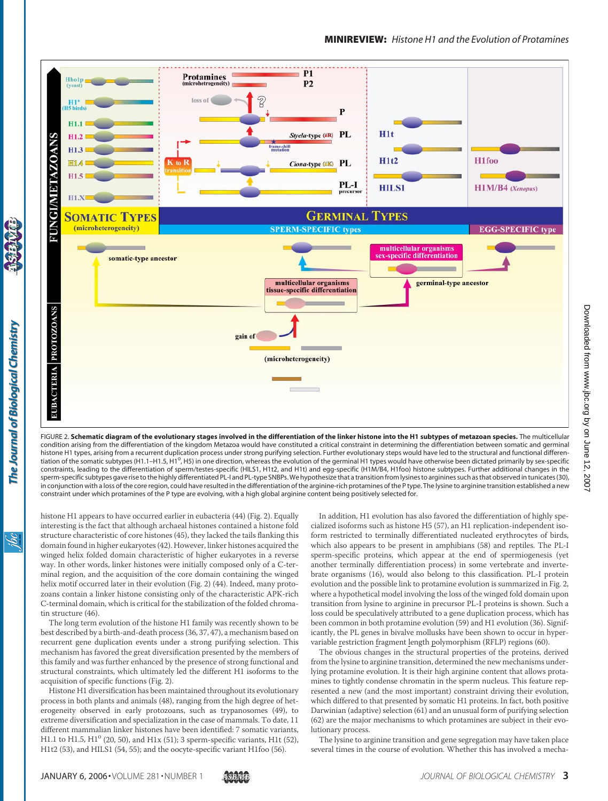

FIGURE 2. **Schematic diagram of the evolutionary stages involved in the differentiation of the linker histone into the H1 subtypes of metazoan species.** The multicellular condition arising from the differentiation of the kingdom Metazoa would have constituted a critical constraint in determining the differentiation between somatic and germinal histone H1 types, arising from a recurrent duplication process under strong purifying selection. Further evolutionary steps would have led to the structural and functional differentiation of the somatic subtypes (H1.1-H1.5, H1<sup>o</sup>, H5) in one direction, whereas the evolution of the germinal H1 types would have otherwise been dictated primarily by sex-specific constraints, leading to the differentiation of sperm/testes-specific (HILS1, H1t2, and H1t) and egg-specific (H1M/B4, H1foo) histone subtypes. Further additional changes in the sperm-specific subtypes gave rise to the highly differentiated PL-I and PL-type SNBPs.We hypothesize that a transitionfrom lysines to arginines such as that observed in tunicates(30), in conjunction with a loss of the core region, could have resulted in the differentiation of the arginine-rich protamines of the P type. The lysine to arginine transition established a new constraint under which protamines of the P type are evolving, with a high global arginine content being positively selected for.

histone H1 appears to have occurred earlier in eubacteria (44) (Fig. 2). Equally interesting is the fact that although archaeal histones contained a histone fold structure characteristic of core histones (45), they lacked the tails flanking this domain found in higher eukaryotes (42). However, linker histones acquired the winged helix folded domain characteristic of higher eukaryotes in a reverse way. In other words, linker histones were initially composed only of a C-terminal region, and the acquisition of the core domain containing the winged helix motif occurred later in their evolution (Fig. 2) (44). Indeed, many protozoans contain a linker histone consisting only of the characteristic APK-rich C-terminal domain, which is critical for the stabilization of the folded chromatin structure (46).

The long term evolution of the histone H1 family was recently shown to be best described by a birth-and-death process (36, 37, 47), a mechanism based on recurrent gene duplication events under a strong purifying selection. This mechanism has favored the great diversification presented by the members of this family and was further enhanced by the presence of strong functional and structural constraints, which ultimately led the different H1 isoforms to the acquisition of specific functions (Fig. 2).

Histone H1 diversification has been maintained throughout its evolutionary process in both plants and animals (48), ranging from the high degree of heterogeneity observed in early protozoans, such as trypanosomes (49), to extreme diversification and specialization in the case of mammals. To date, 11 different mammalian linker histones have been identified: 7 somatic variants, H1.1 to H1.5,  $H1^0$  (20, 50), and H1x (51); 3 sperm-specific variants, H1t (52), H1t2 (53), and HILS1 (54, 55); and the oocyte-specific variant H1foo (56).

In addition, H1 evolution has also favored the differentiation of highly specialized isoforms such as histone H5 (57), an H1 replication-independent isoform restricted to terminally differentiated nucleated erythrocytes of birds, which also appears to be present in amphibians (58) and reptiles. The PL-I sperm-specific proteins, which appear at the end of spermiogenesis (yet another terminally differentiation process) in some vertebrate and invertebrate organisms (16), would also belong to this classification. PL-I protein evolution and the possible link to protamine evolution is summarized in Fig. 2, where a hypothetical model involving the loss of the winged fold domain upon transition from lysine to arginine in precursor PL-I proteins is shown. Such a loss could be speculatively attributed to a gene duplication process, which has been common in both protamine evolution (59) and H1 evolution (36). Significantly, the PL genes in bivalve mollusks have been shown to occur in hypervariable restriction fragment length polymorphism (RFLP) regions (60).

The obvious changes in the structural properties of the proteins, derived from the lysine to arginine transition, determined the new mechanisms underlying protamine evolution. It is their high arginine content that allows protamines to tightly condense chromatin in the sperm nucleus. This feature represented a new (and the most important) constraint driving their evolution, which differed to that presented by somatic H1 proteins. In fact, both positive Darwinian (adaptive) selection (61) and an unusual form of purifying selection (62) are the major mechanisms to which protamines are subject in their evolutionary process.

The lysine to arginine transition and gene segregation may have taken place several times in the course of evolution. Whether this has involved a mecha-

The Journal of Biological Chemistry

<u>івс</u>